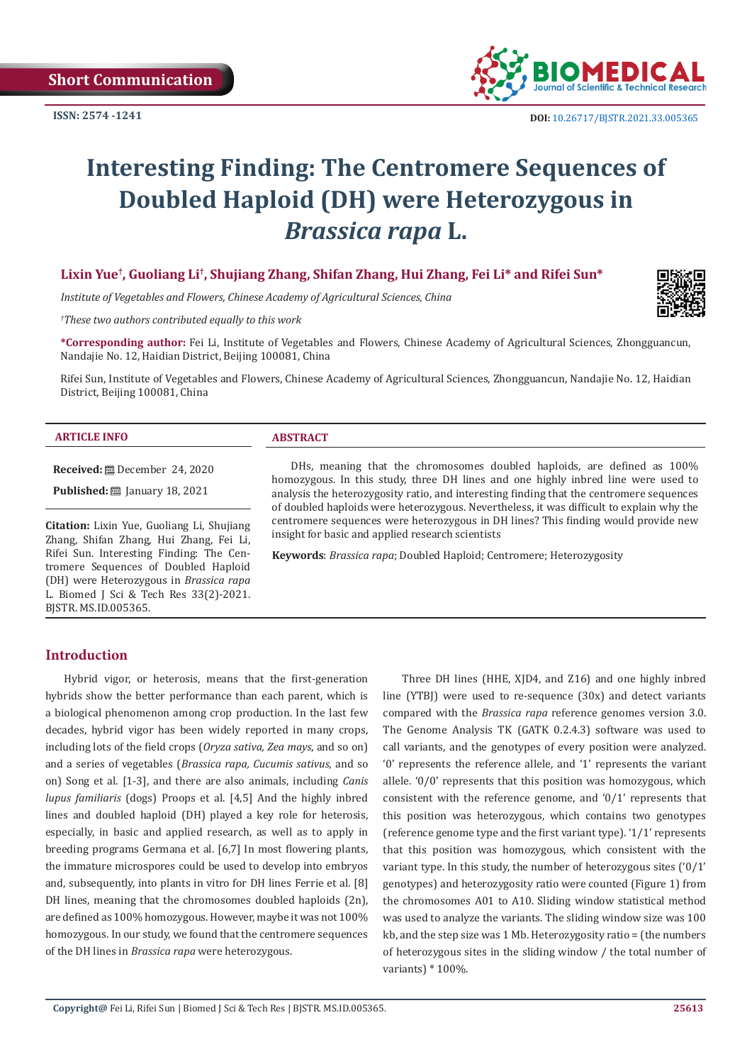**Short Communication**



# **Interesting Finding: The Centromere Sequences of Doubled Haploid (DH) were Heterozygous in**  *Brassica rapa* **L.**

# **Lixin Yue† , Guoliang Li† , Shujiang Zhang, Shifan Zhang, Hui Zhang, Fei Li\* and Rifei Sun\***

*Institute of Vegetables and Flowers, Chinese Academy of Agricultural Sciences, China*

*† These two authors contributed equally to this work*

**\*Corresponding author:** Fei Li, Institute of Vegetables and Flowers, Chinese Academy of Agricultural Sciences, Zhongguancun, Nandajie No. 12, Haidian District, Beijing 100081, China

Rifei Sun, Institute of Vegetables and Flowers, Chinese Academy of Agricultural Sciences, Zhongguancun, Nandajie No. 12, Haidian District, Beijing 100081, China

#### **ARTICLE INFO ABSTRACT**

**Received:** December 24, 2020

**Published:** ■ January 18, 2021

**Citation:** Lixin Yue, Guoliang Li, Shujiang Zhang, Shifan Zhang, Hui Zhang, Fei Li, Rifei Sun. Interesting Finding: The Centromere Sequences of Doubled Haploid (DH) were Heterozygous in *Brassica rapa*  L. Biomed J Sci & Tech Res 33(2)-2021. BJSTR. MS.ID.005365.

DHs, meaning that the chromosomes doubled haploids, are defined as 100% homozygous. In this study, three DH lines and one highly inbred line were used to analysis the heterozygosity ratio, and interesting finding that the centromere sequences of doubled haploids were heterozygous. Nevertheless, it was difficult to explain why the centromere sequences were heterozygous in DH lines? This finding would provide new insight for basic and applied research scientists

**Keywords**: *Brassica rapa*; Doubled Haploid; Centromere; Heterozygosity

### **Introduction**

Hybrid vigor, or heterosis, means that the first-generation hybrids show the better performance than each parent, which is a biological phenomenon among crop production. In the last few decades, hybrid vigor has been widely reported in many crops, including lots of the field crops (*Oryza sativa, Zea mays*, and so on) and a series of vegetables (*Brassica rapa, Cucumis sativus*, and so on) Song et al. [1-3], and there are also animals, including *Canis lupus familiaris* (dogs) Proops et al. [4,5] And the highly inbred lines and doubled haploid (DH) played a key role for heterosis, especially, in basic and applied research, as well as to apply in breeding programs Germana et al. [6,7] In most flowering plants, the immature microspores could be used to develop into embryos and, subsequently, into plants in vitro for DH lines Ferrie et al. [8] DH lines, meaning that the chromosomes doubled haploids (2n), are defined as 100% homozygous. However, maybe it was not 100% homozygous. In our study, we found that the centromere sequences of the DH lines in *Brassica rapa* were heterozygous.

Three DH lines (HHE, XJD4, and Z16) and one highly inbred line (YTBJ) were used to re-sequence (30x) and detect variants compared with the *Brassica rapa* reference genomes version 3.0. The Genome Analysis TK (GATK 0.2.4.3) software was used to call variants, and the genotypes of every position were analyzed. '0' represents the reference allele, and '1' represents the variant allele. '0/0' represents that this position was homozygous, which consistent with the reference genome, and '0/1' represents that this position was heterozygous, which contains two genotypes (reference genome type and the first variant type). '1/1' represents that this position was homozygous, which consistent with the variant type. In this study, the number of heterozygous sites ('0/1' genotypes) and heterozygosity ratio were counted (Figure 1) from the chromosomes A01 to A10. Sliding window statistical method was used to analyze the variants. The sliding window size was 100 kb, and the step size was 1 Mb. Heterozygosity ratio = (the numbers of heterozygous sites in the sliding window / the total number of variants) \* 100%.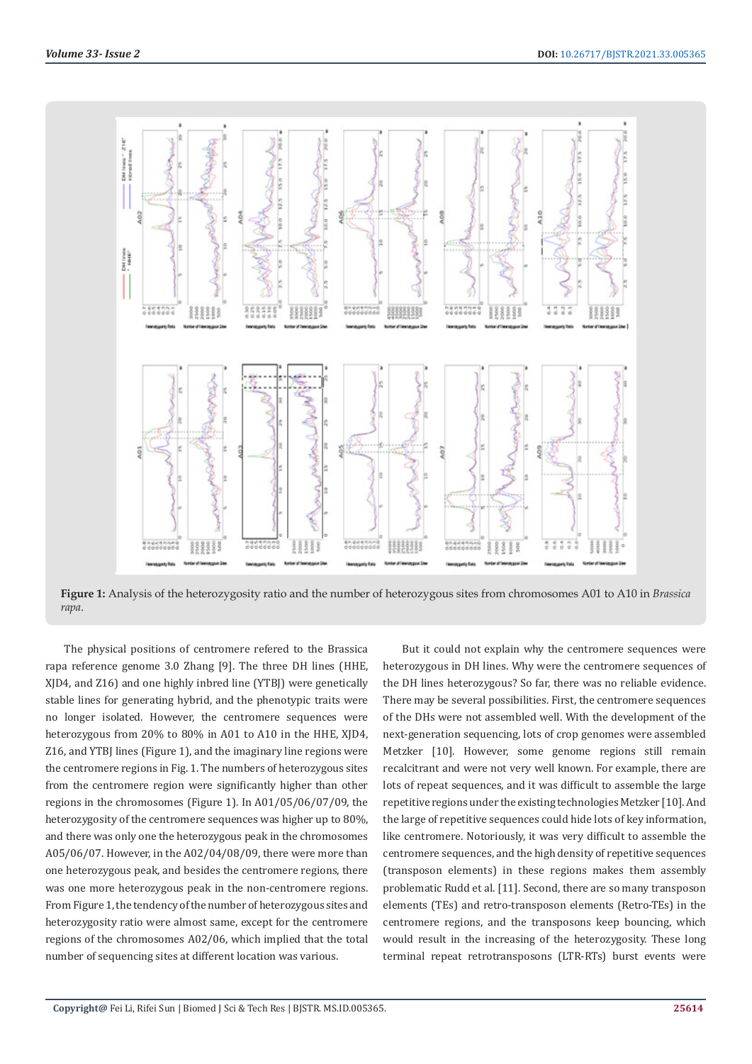

**Figure 1:** Analysis of the heterozygosity ratio and the number of heterozygous sites from chromosomes A01 to A10 in *Brassica rapa*.

The physical positions of centromere refered to the Brassica rapa reference genome 3.0 Zhang [9]. The three DH lines (HHE, XJD4, and Z16) and one highly inbred line (YTBJ) were genetically stable lines for generating hybrid, and the phenotypic traits were no longer isolated. However, the centromere sequences were heterozygous from 20% to 80% in A01 to A10 in the HHE, XJD4, Z16, and YTBJ lines (Figure 1), and the imaginary line regions were the centromere regions in Fig. 1. The numbers of heterozygous sites from the centromere region were significantly higher than other regions in the chromosomes (Figure 1). In A01/05/06/07/09, the heterozygosity of the centromere sequences was higher up to 80%, and there was only one the heterozygous peak in the chromosomes A05/06/07. However, in the A02/04/08/09, there were more than one heterozygous peak, and besides the centromere regions, there was one more heterozygous peak in the non-centromere regions. From Figure 1, the tendency of the number of heterozygous sites and heterozygosity ratio were almost same, except for the centromere regions of the chromosomes A02/06, which implied that the total number of sequencing sites at different location was various.

But it could not explain why the centromere sequences were heterozygous in DH lines. Why were the centromere sequences of the DH lines heterozygous? So far, there was no reliable evidence. There may be several possibilities. First, the centromere sequences of the DHs were not assembled well. With the development of the next-generation sequencing, lots of crop genomes were assembled Metzker [10]. However, some genome regions still remain recalcitrant and were not very well known. For example, there are lots of repeat sequences, and it was difficult to assemble the large repetitive regions under the existing technologies Metzker [10]. And the large of repetitive sequences could hide lots of key information, like centromere. Notoriously, it was very difficult to assemble the centromere sequences, and the high density of repetitive sequences (transposon elements) in these regions makes them assembly problematic Rudd et al. [11]. Second, there are so many transposon elements (TEs) and retro-transposon elements (Retro-TEs) in the centromere regions, and the transposons keep bouncing, which would result in the increasing of the heterozygosity. These long terminal repeat retrotransposons (LTR-RTs) burst events were